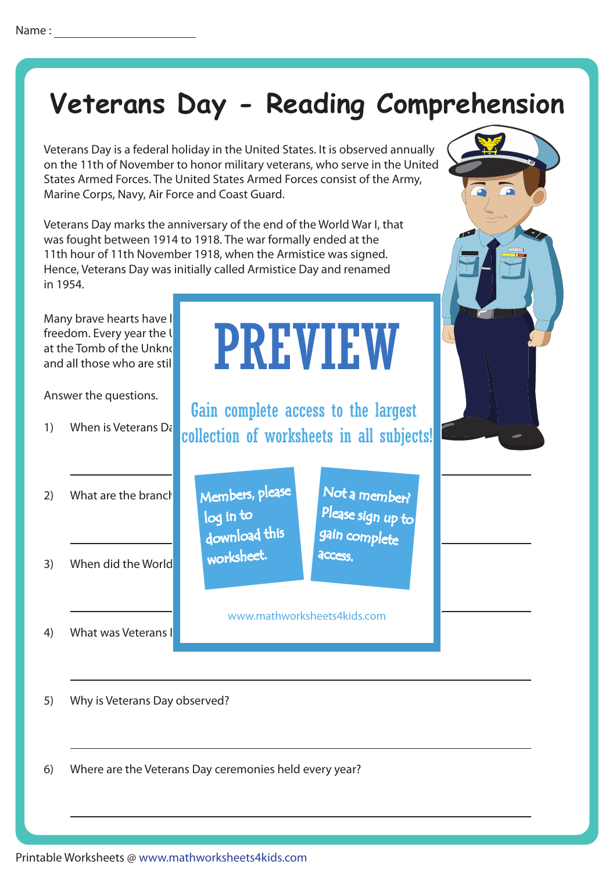# **Veterans Day - Reading Comprehension**

Veterans Day is a federal holiday in the United States. It is observed annually on the 11th of November to honor military veterans, who serve in the United States Armed Forces. The United States Armed Forces consist of the Army, Marine Corps, Navy, Air Force and Coast Guard.

> download this worksheet.

log in to

Veterans Day marks the anniversary of the end of the World War I, that was fought between 1914 to 1918. The war formally ended at the 11th hour of 11th November 1918, when the Armistice was signed. Hence, Veterans Day was initially called Armistice Day and renamed in 1954.

Many brave hearts have I and all those who are still

Answer the questions.

1) When is Veterans  $D\bar{\epsilon}$ 

### freedom. Every year the US government holds Day Control Day Control of Table Veterans Day ceremonies at the Tomb of the Unknown Soldier, homore served all those who have served all those who have served as a ser PREVIEW

Gain complete access to the largest collection of worksheets in all subjects!

- 2) What are the branches Members, please  $\blacksquare$  Not a m
- 3) When did the World

4) What was Veterans I

Not a member? gain complete Please sign up to **access** 

www.mathworksheets4kids.com

5) Why is Veterans Day observed?

6) Where are the Veterans Day ceremonies held every year?